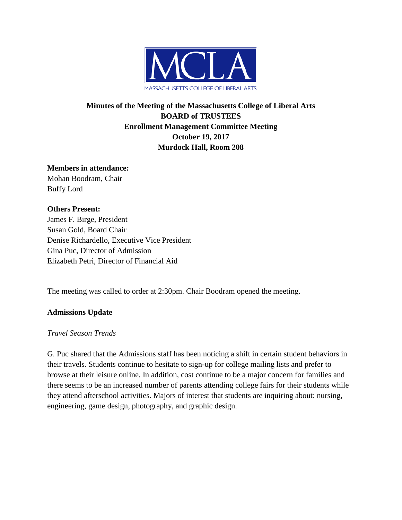

# **Minutes of the Meeting of the Massachusetts College of Liberal Arts BOARD of TRUSTEES Enrollment Management Committee Meeting October 19, 2017 Murdock Hall, Room 208**

#### **Members in attendance:**

Mohan Boodram, Chair Buffy Lord

#### **Others Present:**

James F. Birge, President Susan Gold, Board Chair Denise Richardello, Executive Vice President Gina Puc, Director of Admission Elizabeth Petri, Director of Financial Aid

The meeting was called to order at 2:30pm. Chair Boodram opened the meeting.

## **Admissions Update**

#### *Travel Season Trends*

G. Puc shared that the Admissions staff has been noticing a shift in certain student behaviors in their travels. Students continue to hesitate to sign-up for college mailing lists and prefer to browse at their leisure online. In addition, cost continue to be a major concern for families and there seems to be an increased number of parents attending college fairs for their students while they attend afterschool activities. Majors of interest that students are inquiring about: nursing, engineering, game design, photography, and graphic design.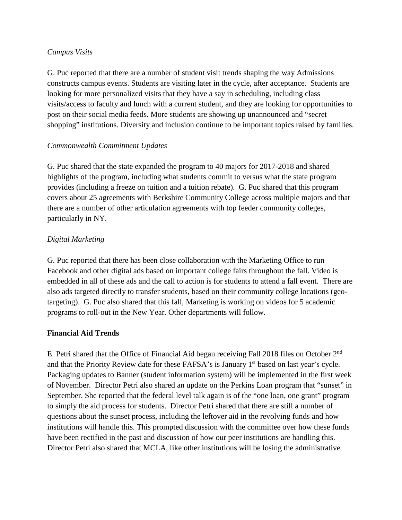#### *Campus Visits*

G. Puc reported that there are a number of student visit trends shaping the way Admissions constructs campus events. Students are visiting later in the cycle, after acceptance. Students are looking for more personalized visits that they have a say in scheduling, including class visits/access to faculty and lunch with a current student, and they are looking for opportunities to post on their social media feeds. More students are showing up unannounced and "secret shopping" institutions. Diversity and inclusion continue to be important topics raised by families.

#### *Commonwealth Commitment Updates*

G. Puc shared that the state expanded the program to 40 majors for 2017-2018 and shared highlights of the program, including what students commit to versus what the state program provides (including a freeze on tuition and a tuition rebate). G. Puc shared that this program covers about 25 agreements with Berkshire Community College across multiple majors and that there are a number of other articulation agreements with top feeder community colleges, particularly in NY.

# *Digital Marketing*

G. Puc reported that there has been close collaboration with the Marketing Office to run Facebook and other digital ads based on important college fairs throughout the fall. Video is embedded in all of these ads and the call to action is for students to attend a fall event. There are also ads targeted directly to transfer students, based on their community college locations (geotargeting). G. Puc also shared that this fall, Marketing is working on videos for 5 academic programs to roll-out in the New Year. Other departments will follow.

## **Financial Aid Trends**

E. Petri shared that the Office of Financial Aid began receiving Fall 2018 files on October 2<sup>nd</sup> and that the Priority Review date for these FAFSA's is January 1<sup>st</sup> based on last year's cycle. Packaging updates to Banner (student information system) will be implemented in the first week of November. Director Petri also shared an update on the Perkins Loan program that "sunset" in September. She reported that the federal level talk again is of the "one loan, one grant" program to simply the aid process for students. Director Petri shared that there are still a number of questions about the sunset process, including the leftover aid in the revolving funds and how institutions will handle this. This prompted discussion with the committee over how these funds have been rectified in the past and discussion of how our peer institutions are handling this. Director Petri also shared that MCLA, like other institutions will be losing the administrative